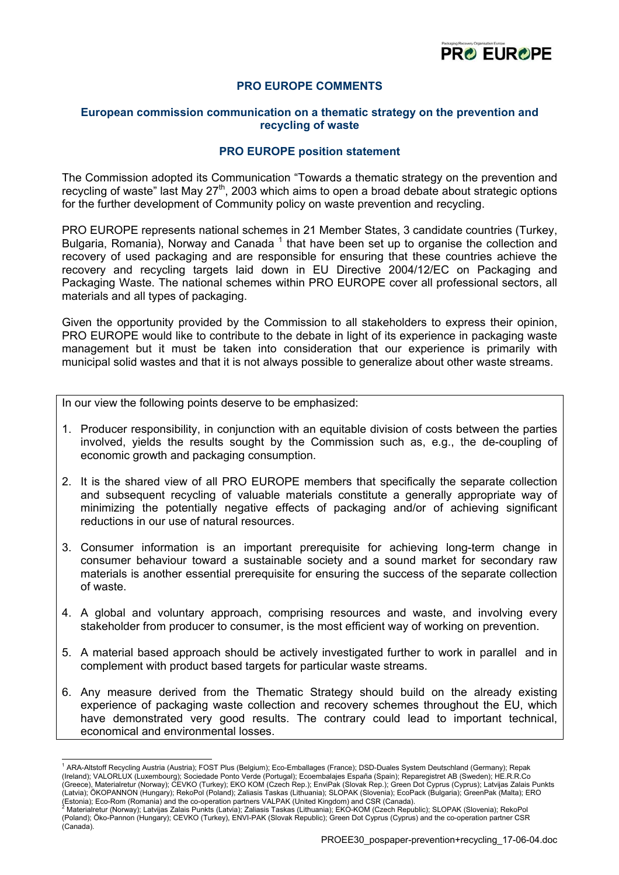

# **PRO EUROPE COMMENTS**

## **European commission communication on a thematic strategy on the prevention and recycling of waste**

## **PRO EUROPE position statement**

The Commission adopted its Communication "Towards a thematic strategy on the prevention and recycling of waste" last May  $27<sup>th</sup>$ , 2003 which aims to open a broad debate about strategic options for the further development of Community policy on waste prevention and recycling.

PRO EUROPE represents national schemes in 21 Member States, 3 candidate countries (Turkey, Bulgaria, Romania), Norway and Canada<sup>[1](#page-0-0)</sup> that have been set up to organise the collection and recovery of used packaging and are responsible for ensuring that these countries achieve the recovery and recycling targets laid down in EU Directive 2004/12/EC on Packaging and Packaging Waste. The national schemes within PRO EUROPE cover all professional sectors, all materials and all types of packaging.

[Gi](#page-0-1)ven the opportunity provided by the Commission to all stakeholders to express their opinion, PRO EUROPE would like to contribute to the debate in light of its experience in packaging waste management but it must be taken into consideration that our experience is primarily with municipal solid wastes and that it is not always possible to generalize about other waste streams.

In our view the following points deserve to be emphasized:

- 1. Producer responsibility, in conjunction with an equitable division of costs between the parties involved, yields the results sought by the Commission such as, e.g., the de-coupling of economic growth and packaging consumption.
- 2. It is the shared view of all PRO EUROPE members that specifically the separate collection and subsequent recycling of valuable materials constitute a generally appropriate way of minimizing the potentially negative effects of packaging and/or of achieving significant reductions in our use of natural resources.
- 3. Consumer information is an important prerequisite for achieving long-term change in consumer behaviour toward a sustainable society and a sound market for secondary raw materials is another essential prerequisite for ensuring the success of the separate collection of waste.
- 4. A global and voluntary approach, comprising resources and waste, and involving every stakeholder from producer to consumer, is the most efficient way of working on prevention.
- 5. A material based approach should be actively investigated further to work in parallel and in complement with product based targets for particular waste streams.
- 6. Any measure derived from the Thematic Strategy should build on the already existing experience of packaging waste collection and recovery schemes throughout the EU, which have demonstrated very good results. The contrary could lead to important technical, economical and environmental losses.

<span id="page-0-0"></span> 1 ARA-Altstoff Recycling Austria (Austria); FOST Plus (Belgium); Eco-Emballages (France); DSD-Duales System Deutschland (Germany); Repak (Ireland); VALORLUX (Luxembourg); Sociedade Ponto Verde (Portugal); Ecoembalajes España (Spain); Reparegistret AB (Sweden); HE.R.R.Co (Greece), Materialretur (Norway); CEVKO (Turkey); EKO KOM (Czech Rep.); EnviPak (Slovak Rep.); Green Dot Cyprus (Cyprus); Latvijas Zalais Punkts (Latvia); ÖKOPANNON (Hungary); RekoPol (Poland); Zaliasis Taskas (Lithuania); SLOPAK (Slovenia); EcoPack (Bulgaria); GreenPak (Malta); ERO (Estonia); Eco-Rom (Romania) and the co-operation partners VALPAK (United Kingdom) and CSR (Canada). <sup>2</sup>

<span id="page-0-1"></span>Materialretur (Norway); Latvijas Zalais Punkts (Latvia); Zaliasis Taskas (Lithuania); EKO-KOM (Czech Republic); SLOPAK (Slovenia); RekoPol (Poland); Öko-Pannon (Hungary); CEVKO (Turkey), ENVI-PAK (Slovak Republic); Green Dot Cyprus (Cyprus) and the co-operation partner CSR (Canada).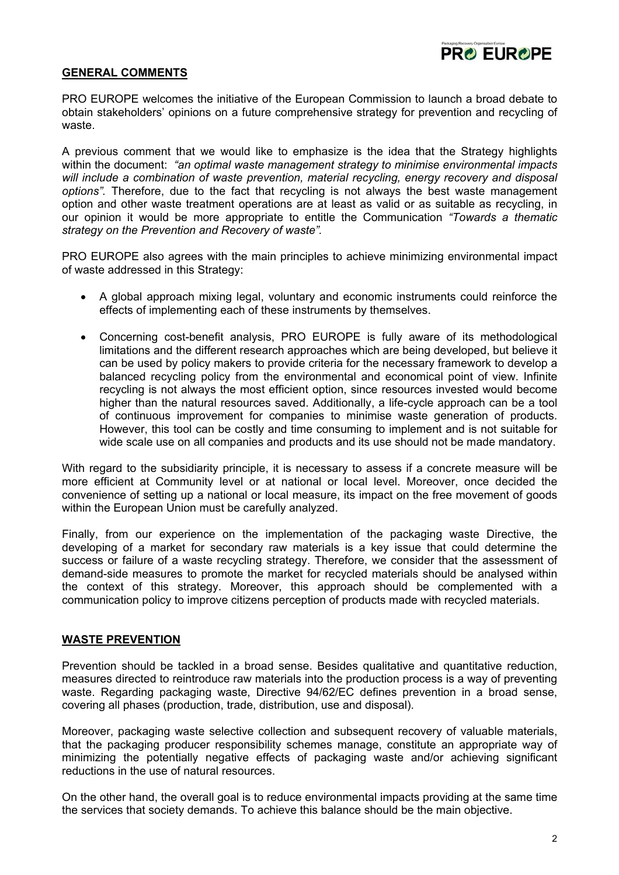

## **GENERAL COMMENTS**

PRO EUROPE welcomes the initiative of the European Commission to launch a broad debate to obtain stakeholders' opinions on a future comprehensive strategy for prevention and recycling of waste.

A previous comment that we would like to emphasize is the idea that the Strategy highlights within the document: *"an optimal waste management strategy to minimise environmental impacts will include a combination of waste prevention, material recycling, energy recovery and disposal options".* Therefore, due to the fact that recycling is not always the best waste management option and other waste treatment operations are at least as valid or as suitable as recycling, in our opinion it would be more appropriate to entitle the Communication *"Towards a thematic strategy on the Prevention and Recovery of waste".* 

PRO EUROPE also agrees with the main principles to achieve minimizing environmental impact of waste addressed in this Strategy:

- A global approach mixing legal, voluntary and economic instruments could reinforce the effects of implementing each of these instruments by themselves.
- Concerning cost-benefit analysis, PRO EUROPE is fully aware of its methodological limitations and the different research approaches which are being developed, but believe it can be used by policy makers to provide criteria for the necessary framework to develop a balanced recycling policy from the environmental and economical point of view. Infinite recycling is not always the most efficient option, since resources invested would become higher than the natural resources saved. Additionally, a life-cycle approach can be a tool of continuous improvement for companies to minimise waste generation of products. However, this tool can be costly and time consuming to implement and is not suitable for wide scale use on all companies and products and its use should not be made mandatory.

With regard to the subsidiarity principle, it is necessary to assess if a concrete measure will be more efficient at Community level or at national or local level. Moreover, once decided the convenience of setting up a national or local measure, its impact on the free movement of goods within the European Union must be carefully analyzed.

Finally, from our experience on the implementation of the packaging waste Directive, the developing of a market for secondary raw materials is a key issue that could determine the success or failure of a waste recycling strategy. Therefore, we consider that the assessment of demand-side measures to promote the market for recycled materials should be analysed within the context of this strategy. Moreover, this approach should be complemented with a communication policy to improve citizens perception of products made with recycled materials.

## **WASTE PREVENTION**

Prevention should be tackled in a broad sense. Besides qualitative and quantitative reduction, measures directed to reintroduce raw materials into the production process is a way of preventing waste. Regarding packaging waste, Directive 94/62/EC defines prevention in a broad sense, covering all phases (production, trade, distribution, use and disposal).

Moreover, packaging waste selective collection and subsequent recovery of valuable materials, that the packaging producer responsibility schemes manage, constitute an appropriate way of minimizing the potentially negative effects of packaging waste and/or achieving significant reductions in the use of natural resources.

On the other hand, the overall goal is to reduce environmental impacts providing at the same time the services that society demands. To achieve this balance should be the main objective.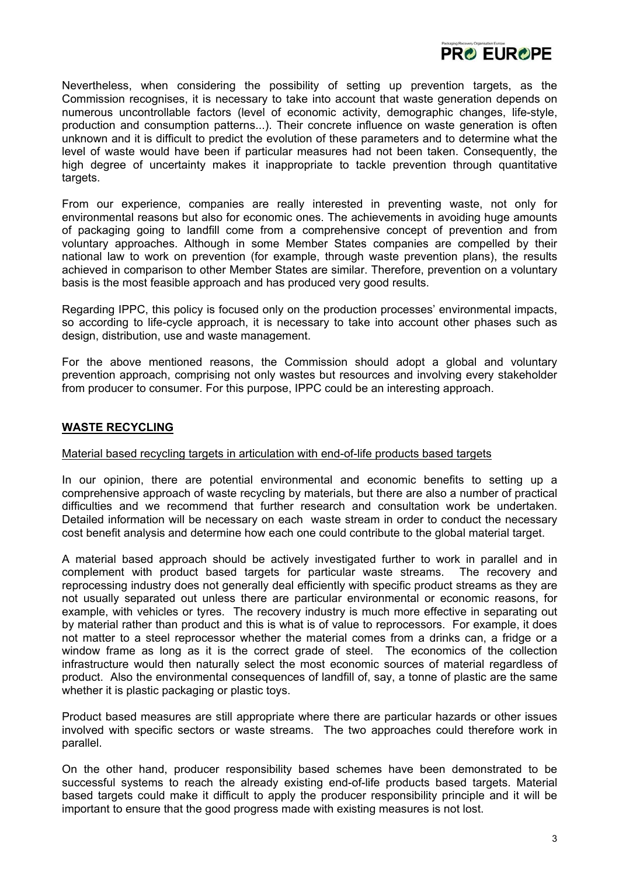

Nevertheless, when considering the possibility of setting up prevention targets, as the Commission recognises, it is necessary to take into account that waste generation depends on numerous uncontrollable factors (level of economic activity, demographic changes, life-style, production and consumption patterns...). Their concrete influence on waste generation is often unknown and it is difficult to predict the evolution of these parameters and to determine what the level of waste would have been if particular measures had not been taken. Consequently, the high degree of uncertainty makes it inappropriate to tackle prevention through quantitative targets.

From our experience, companies are really interested in preventing waste, not only for environmental reasons but also for economic ones. The achievements in avoiding huge amounts of packaging going to landfill come from a comprehensive concept of prevention and from voluntary approaches. Although in some Member States companies are compelled by their national law to work on prevention (for example, through waste prevention plans), the results achieved in comparison to other Member States are similar. Therefore, prevention on a voluntary basis is the most feasible approach and has produced very good results.

Regarding IPPC, this policy is focused only on the production processes' environmental impacts, so according to life-cycle approach, it is necessary to take into account other phases such as design, distribution, use and waste management.

For the above mentioned reasons, the Commission should adopt a global and voluntary prevention approach, comprising not only wastes but resources and involving every stakeholder from producer to consumer. For this purpose, IPPC could be an interesting approach.

# **WASTE RECYCLING**

## Material based recycling targets in articulation with end-of-life products based targets

In our opinion, there are potential environmental and economic benefits to setting up a comprehensive approach of waste recycling by materials, but there are also a number of practical difficulties and we recommend that further research and consultation work be undertaken. Detailed information will be necessary on each waste stream in order to conduct the necessary cost benefit analysis and determine how each one could contribute to the global material target.

A material based approach should be actively investigated further to work in parallel and in complement with product based targets for particular waste streams. The recovery and reprocessing industry does not generally deal efficiently with specific product streams as they are not usually separated out unless there are particular environmental or economic reasons, for example, with vehicles or tyres. The recovery industry is much more effective in separating out by material rather than product and this is what is of value to reprocessors. For example, it does not matter to a steel reprocessor whether the material comes from a drinks can, a fridge or a window frame as long as it is the correct grade of steel. The economics of the collection infrastructure would then naturally select the most economic sources of material regardless of product. Also the environmental consequences of landfill of, say, a tonne of plastic are the same whether it is plastic packaging or plastic toys.

Product based measures are still appropriate where there are particular hazards or other issues involved with specific sectors or waste streams. The two approaches could therefore work in parallel.

On the other hand, producer responsibility based schemes have been demonstrated to be successful systems to reach the already existing end-of-life products based targets. Material based targets could make it difficult to apply the producer responsibility principle and it will be important to ensure that the good progress made with existing measures is not lost.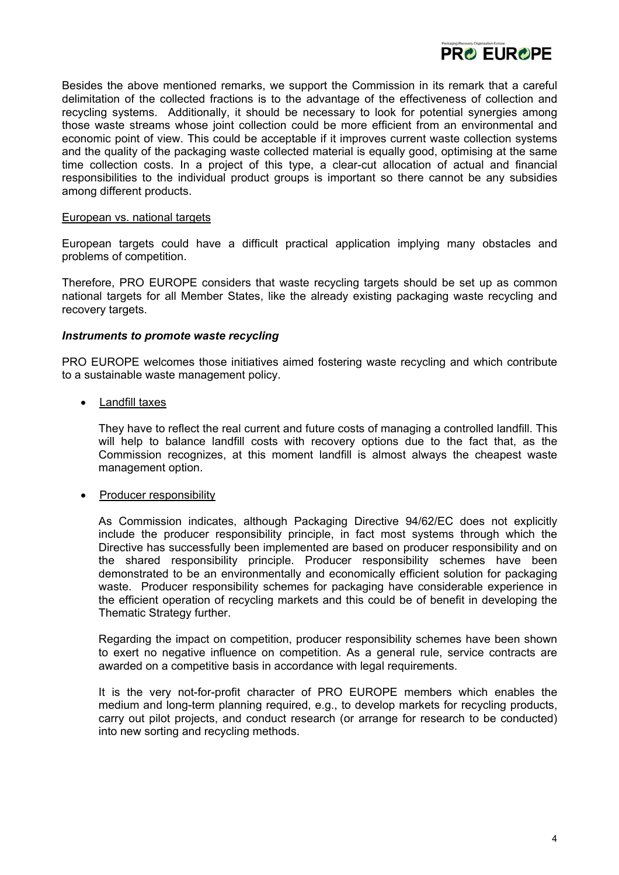

Besides the above mentioned remarks, we support the Commission in its remark that a careful delimitation of the collected fractions is to the advantage of the effectiveness of collection and recycling systems. Additionally, it should be necessary to look for potential synergies among those waste streams whose joint collection could be more efficient from an environmental and economic point of view. This could be acceptable if it improves current waste collection systems and the quality of the packaging waste collected material is equally good, optimising at the same time collection costs. In a project of this type, a clear-cut allocation of actual and financial responsibilities to the individual product groups is important so there cannot be any subsidies among different products.

#### European vs. national targets

European targets could have a difficult practical application implying many obstacles and problems of competition.

Therefore, PRO EUROPE considers that waste recycling targets should be set up as common national targets for all Member States, like the already existing packaging waste recycling and recovery targets.

#### *Instruments to promote waste recycling*

PRO EUROPE welcomes those initiatives aimed fostering waste recycling and which contribute to a sustainable waste management policy.

• Landfill taxes

They have to reflect the real current and future costs of managing a controlled landfill. This will help to balance landfill costs with recovery options due to the fact that, as the Commission recognizes, at this moment landfill is almost always the cheapest waste management option.

• Producer responsibility

As Commission indicates, although Packaging Directive 94/62/EC does not explicitly include the producer responsibility principle, in fact most systems through which the Directive has successfully been implemented are based on producer responsibility and on the shared responsibility principle. Producer responsibility schemes have been demonstrated to be an environmentally and economically efficient solution for packaging waste. Producer responsibility schemes for packaging have considerable experience in the efficient operation of recycling markets and this could be of benefit in developing the Thematic Strategy further.

Regarding the impact on competition, producer responsibility schemes have been shown to exert no negative influence on competition. As a general rule, service contracts are awarded on a competitive basis in accordance with legal requirements.

It is the very not-for-profit character of PRO EUROPE members which enables the medium and long-term planning required, e.g., to develop markets for recycling products, carry out pilot projects, and conduct research (or arrange for research to be conducted) into new sorting and recycling methods.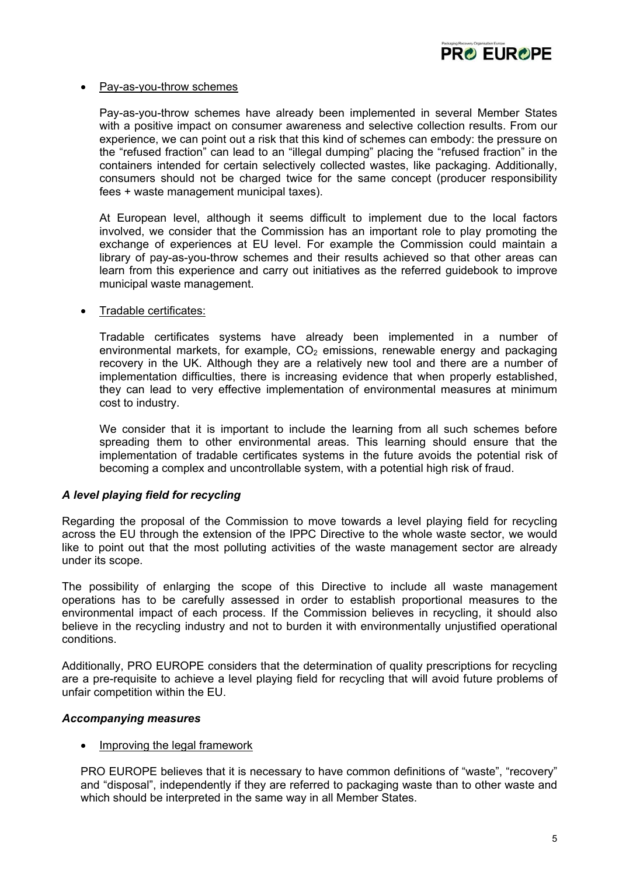

## • Pay-as-you-throw schemes

Pay-as-you-throw schemes have already been implemented in several Member States with a positive impact on consumer awareness and selective collection results. From our experience, we can point out a risk that this kind of schemes can embody: the pressure on the "refused fraction" can lead to an "illegal dumping" placing the "refused fraction" in the containers intended for certain selectively collected wastes, like packaging. Additionally, consumers should not be charged twice for the same concept (producer responsibility fees + waste management municipal taxes).

At European level, although it seems difficult to implement due to the local factors involved, we consider that the Commission has an important role to play promoting the exchange of experiences at EU level. For example the Commission could maintain a library of pay-as-you-throw schemes and their results achieved so that other areas can learn from this experience and carry out initiatives as the referred guidebook to improve municipal waste management.

## • Tradable certificates:

Tradable certificates systems have already been implemented in a number of environmental markets, for example,  $CO<sub>2</sub>$  emissions, renewable energy and packaging recovery in the UK. Although they are a relatively new tool and there are a number of implementation difficulties, there is increasing evidence that when properly established, they can lead to very effective implementation of environmental measures at minimum cost to industry.

We consider that it is important to include the learning from all such schemes before spreading them to other environmental areas. This learning should ensure that the implementation of tradable certificates systems in the future avoids the potential risk of becoming a complex and uncontrollable system, with a potential high risk of fraud.

## *A level playing field for recycling*

Regarding the proposal of the Commission to move towards a level playing field for recycling across the EU through the extension of the IPPC Directive to the whole waste sector, we would like to point out that the most polluting activities of the waste management sector are already under its scope.

The possibility of enlarging the scope of this Directive to include all waste management operations has to be carefully assessed in order to establish proportional measures to the environmental impact of each process. If the Commission believes in recycling, it should also believe in the recycling industry and not to burden it with environmentally unjustified operational conditions.

Additionally, PRO EUROPE considers that the determination of quality prescriptions for recycling are a pre-requisite to achieve a level playing field for recycling that will avoid future problems of unfair competition within the EU.

## *Accompanying measures*

## • Improving the legal framework

PRO EUROPE believes that it is necessary to have common definitions of "waste", "recovery" and "disposal", independently if they are referred to packaging waste than to other waste and which should be interpreted in the same way in all Member States.